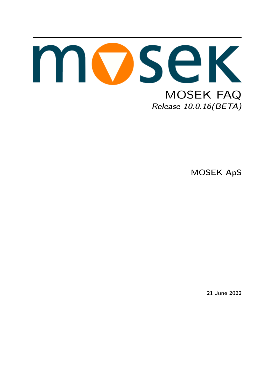

MOSEK ApS

21 June 2022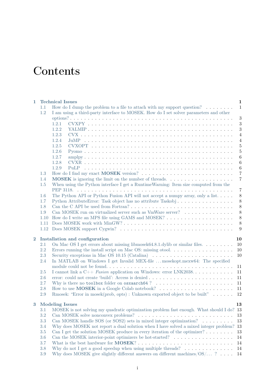# **Contents**

| 1.1<br>1.2<br>1.2.1<br>1.2.2<br>1.2.3<br>1.2.4<br>1.2.5<br>1.2.6<br>1.2.7<br>1.2.8<br>1.2.9<br>1.3<br>$1.4\,$<br>When using the Python interface I get a RuntimeWarning: Item size computed from the<br>1.5<br>1.6<br>Python AttributeError: Task object has no attribute Taskobj<br>1.7<br>1.8<br>Can MOSEK run on virtualized server such as VmWare server?<br>1.9<br>1.10<br>1.11<br>1.12<br>$\overline{2}$<br>Installation and configuration<br>On Mac OS I get errors about missing libmosek $64.8.1$ .dylib or similar files.<br>2.1<br>Errors running the install script on Mac OS: missing otool. $\dots \dots \dots \dots \dots \dots$<br>2.2<br>2.3<br>Security exceptions in Mac OS 10.15 (Catalina) $\dots \dots \dots \dots \dots \dots \dots \dots$<br>In MATLAB on Windows I get Invalid MEX-file mosekopt.mexw64: The specified<br>2.4<br>2.5<br>2.6<br>2.7<br>2.8<br>2.9<br><b>Modeling Issues</b><br>3<br>3.1<br>MOSEK is not solving my quadratic optimization problem fast enough. What should I do? 13<br>3.2<br>Can MOSEK handle SOS (or SOS2) sets in mixed integer optimization? $\dots \dots$<br>$3.3\,$<br>$3.4\,$<br>Why does MOSEK not report a dual solution when I have solved a mixed integer problem?<br>$3.5\,$<br>Can I get the solution MOSEK produce in every iteration of the optimizer? $\dots \dots$<br>$3.6\,$<br>Can the MOSEK interior-point optimizers be hot-started? $\ldots \ldots \ldots \ldots \ldots$<br>3.7<br>3.8<br>Why do not I get a good speedup when using multiple threads? $\dots \dots \dots \dots \dots$ | $\mathbf{1}$ |     | <b>Technical Issues</b>                                                                   | $\mathbf{1}$     |  |  |  |
|----------------------------------------------------------------------------------------------------------------------------------------------------------------------------------------------------------------------------------------------------------------------------------------------------------------------------------------------------------------------------------------------------------------------------------------------------------------------------------------------------------------------------------------------------------------------------------------------------------------------------------------------------------------------------------------------------------------------------------------------------------------------------------------------------------------------------------------------------------------------------------------------------------------------------------------------------------------------------------------------------------------------------------------------------------------------------------------------------------------------------------------------------------------------------------------------------------------------------------------------------------------------------------------------------------------------------------------------------------------------------------------------------------------------------------------------------------------------------------------------------------------------------------------------------------------------|--------------|-----|-------------------------------------------------------------------------------------------|------------------|--|--|--|
|                                                                                                                                                                                                                                                                                                                                                                                                                                                                                                                                                                                                                                                                                                                                                                                                                                                                                                                                                                                                                                                                                                                                                                                                                                                                                                                                                                                                                                                                                                                                                                      |              |     | How do I dump the problem to a file to attach with my support question? $\dots \dots$     | $\mathbf{1}$     |  |  |  |
|                                                                                                                                                                                                                                                                                                                                                                                                                                                                                                                                                                                                                                                                                                                                                                                                                                                                                                                                                                                                                                                                                                                                                                                                                                                                                                                                                                                                                                                                                                                                                                      |              |     | I am using a third-party interface to MOSEK. How do I set solver parameters and other     |                  |  |  |  |
|                                                                                                                                                                                                                                                                                                                                                                                                                                                                                                                                                                                                                                                                                                                                                                                                                                                                                                                                                                                                                                                                                                                                                                                                                                                                                                                                                                                                                                                                                                                                                                      |              |     |                                                                                           | $\sqrt{3}$       |  |  |  |
|                                                                                                                                                                                                                                                                                                                                                                                                                                                                                                                                                                                                                                                                                                                                                                                                                                                                                                                                                                                                                                                                                                                                                                                                                                                                                                                                                                                                                                                                                                                                                                      |              |     |                                                                                           | $\boldsymbol{3}$ |  |  |  |
|                                                                                                                                                                                                                                                                                                                                                                                                                                                                                                                                                                                                                                                                                                                                                                                                                                                                                                                                                                                                                                                                                                                                                                                                                                                                                                                                                                                                                                                                                                                                                                      |              |     |                                                                                           | $\sqrt{3}$       |  |  |  |
|                                                                                                                                                                                                                                                                                                                                                                                                                                                                                                                                                                                                                                                                                                                                                                                                                                                                                                                                                                                                                                                                                                                                                                                                                                                                                                                                                                                                                                                                                                                                                                      |              |     |                                                                                           | $\overline{4}$   |  |  |  |
|                                                                                                                                                                                                                                                                                                                                                                                                                                                                                                                                                                                                                                                                                                                                                                                                                                                                                                                                                                                                                                                                                                                                                                                                                                                                                                                                                                                                                                                                                                                                                                      |              |     |                                                                                           | $\overline{4}$   |  |  |  |
|                                                                                                                                                                                                                                                                                                                                                                                                                                                                                                                                                                                                                                                                                                                                                                                                                                                                                                                                                                                                                                                                                                                                                                                                                                                                                                                                                                                                                                                                                                                                                                      |              |     |                                                                                           | $\overline{5}$   |  |  |  |
|                                                                                                                                                                                                                                                                                                                                                                                                                                                                                                                                                                                                                                                                                                                                                                                                                                                                                                                                                                                                                                                                                                                                                                                                                                                                                                                                                                                                                                                                                                                                                                      |              |     |                                                                                           | $\bf 5$          |  |  |  |
|                                                                                                                                                                                                                                                                                                                                                                                                                                                                                                                                                                                                                                                                                                                                                                                                                                                                                                                                                                                                                                                                                                                                                                                                                                                                                                                                                                                                                                                                                                                                                                      |              |     |                                                                                           | $6\phantom{.}6$  |  |  |  |
|                                                                                                                                                                                                                                                                                                                                                                                                                                                                                                                                                                                                                                                                                                                                                                                                                                                                                                                                                                                                                                                                                                                                                                                                                                                                                                                                                                                                                                                                                                                                                                      |              |     |                                                                                           | $6\phantom{.}6$  |  |  |  |
|                                                                                                                                                                                                                                                                                                                                                                                                                                                                                                                                                                                                                                                                                                                                                                                                                                                                                                                                                                                                                                                                                                                                                                                                                                                                                                                                                                                                                                                                                                                                                                      |              |     |                                                                                           | $\,6\,$          |  |  |  |
|                                                                                                                                                                                                                                                                                                                                                                                                                                                                                                                                                                                                                                                                                                                                                                                                                                                                                                                                                                                                                                                                                                                                                                                                                                                                                                                                                                                                                                                                                                                                                                      |              |     |                                                                                           | $\bf 7$          |  |  |  |
|                                                                                                                                                                                                                                                                                                                                                                                                                                                                                                                                                                                                                                                                                                                                                                                                                                                                                                                                                                                                                                                                                                                                                                                                                                                                                                                                                                                                                                                                                                                                                                      |              |     |                                                                                           | $\overline{7}$   |  |  |  |
|                                                                                                                                                                                                                                                                                                                                                                                                                                                                                                                                                                                                                                                                                                                                                                                                                                                                                                                                                                                                                                                                                                                                                                                                                                                                                                                                                                                                                                                                                                                                                                      |              |     |                                                                                           |                  |  |  |  |
|                                                                                                                                                                                                                                                                                                                                                                                                                                                                                                                                                                                                                                                                                                                                                                                                                                                                                                                                                                                                                                                                                                                                                                                                                                                                                                                                                                                                                                                                                                                                                                      |              |     |                                                                                           | $\overline{7}$   |  |  |  |
|                                                                                                                                                                                                                                                                                                                                                                                                                                                                                                                                                                                                                                                                                                                                                                                                                                                                                                                                                                                                                                                                                                                                                                                                                                                                                                                                                                                                                                                                                                                                                                      |              |     | The Python API or Python Fusion API will not accept a numpy array, only a list. $\dots$ . | $\,8\,$          |  |  |  |
|                                                                                                                                                                                                                                                                                                                                                                                                                                                                                                                                                                                                                                                                                                                                                                                                                                                                                                                                                                                                                                                                                                                                                                                                                                                                                                                                                                                                                                                                                                                                                                      |              |     |                                                                                           | 8                |  |  |  |
|                                                                                                                                                                                                                                                                                                                                                                                                                                                                                                                                                                                                                                                                                                                                                                                                                                                                                                                                                                                                                                                                                                                                                                                                                                                                                                                                                                                                                                                                                                                                                                      |              |     |                                                                                           | 8                |  |  |  |
|                                                                                                                                                                                                                                                                                                                                                                                                                                                                                                                                                                                                                                                                                                                                                                                                                                                                                                                                                                                                                                                                                                                                                                                                                                                                                                                                                                                                                                                                                                                                                                      |              |     |                                                                                           | 8                |  |  |  |
|                                                                                                                                                                                                                                                                                                                                                                                                                                                                                                                                                                                                                                                                                                                                                                                                                                                                                                                                                                                                                                                                                                                                                                                                                                                                                                                                                                                                                                                                                                                                                                      |              |     |                                                                                           | 8                |  |  |  |
|                                                                                                                                                                                                                                                                                                                                                                                                                                                                                                                                                                                                                                                                                                                                                                                                                                                                                                                                                                                                                                                                                                                                                                                                                                                                                                                                                                                                                                                                                                                                                                      |              |     |                                                                                           | $8\,$            |  |  |  |
|                                                                                                                                                                                                                                                                                                                                                                                                                                                                                                                                                                                                                                                                                                                                                                                                                                                                                                                                                                                                                                                                                                                                                                                                                                                                                                                                                                                                                                                                                                                                                                      |              |     |                                                                                           | 9                |  |  |  |
|                                                                                                                                                                                                                                                                                                                                                                                                                                                                                                                                                                                                                                                                                                                                                                                                                                                                                                                                                                                                                                                                                                                                                                                                                                                                                                                                                                                                                                                                                                                                                                      |              |     |                                                                                           | 10               |  |  |  |
|                                                                                                                                                                                                                                                                                                                                                                                                                                                                                                                                                                                                                                                                                                                                                                                                                                                                                                                                                                                                                                                                                                                                                                                                                                                                                                                                                                                                                                                                                                                                                                      |              |     |                                                                                           | 10               |  |  |  |
|                                                                                                                                                                                                                                                                                                                                                                                                                                                                                                                                                                                                                                                                                                                                                                                                                                                                                                                                                                                                                                                                                                                                                                                                                                                                                                                                                                                                                                                                                                                                                                      |              |     |                                                                                           | 10               |  |  |  |
|                                                                                                                                                                                                                                                                                                                                                                                                                                                                                                                                                                                                                                                                                                                                                                                                                                                                                                                                                                                                                                                                                                                                                                                                                                                                                                                                                                                                                                                                                                                                                                      |              |     |                                                                                           | 10               |  |  |  |
|                                                                                                                                                                                                                                                                                                                                                                                                                                                                                                                                                                                                                                                                                                                                                                                                                                                                                                                                                                                                                                                                                                                                                                                                                                                                                                                                                                                                                                                                                                                                                                      |              |     |                                                                                           |                  |  |  |  |
|                                                                                                                                                                                                                                                                                                                                                                                                                                                                                                                                                                                                                                                                                                                                                                                                                                                                                                                                                                                                                                                                                                                                                                                                                                                                                                                                                                                                                                                                                                                                                                      |              |     |                                                                                           | 11               |  |  |  |
|                                                                                                                                                                                                                                                                                                                                                                                                                                                                                                                                                                                                                                                                                                                                                                                                                                                                                                                                                                                                                                                                                                                                                                                                                                                                                                                                                                                                                                                                                                                                                                      |              |     | I cannot link a $C_{++}$ Fusion application on Windows: error LNK2038                     | 11               |  |  |  |
|                                                                                                                                                                                                                                                                                                                                                                                                                                                                                                                                                                                                                                                                                                                                                                                                                                                                                                                                                                                                                                                                                                                                                                                                                                                                                                                                                                                                                                                                                                                                                                      |              |     |                                                                                           | 11               |  |  |  |
|                                                                                                                                                                                                                                                                                                                                                                                                                                                                                                                                                                                                                                                                                                                                                                                                                                                                                                                                                                                                                                                                                                                                                                                                                                                                                                                                                                                                                                                                                                                                                                      |              |     |                                                                                           | 11               |  |  |  |
|                                                                                                                                                                                                                                                                                                                                                                                                                                                                                                                                                                                                                                                                                                                                                                                                                                                                                                                                                                                                                                                                                                                                                                                                                                                                                                                                                                                                                                                                                                                                                                      |              |     |                                                                                           | 11               |  |  |  |
|                                                                                                                                                                                                                                                                                                                                                                                                                                                                                                                                                                                                                                                                                                                                                                                                                                                                                                                                                                                                                                                                                                                                                                                                                                                                                                                                                                                                                                                                                                                                                                      |              |     | Rmosek: "Error in mosek(prob, opts) : Unknown exported object to be built"                | 12               |  |  |  |
|                                                                                                                                                                                                                                                                                                                                                                                                                                                                                                                                                                                                                                                                                                                                                                                                                                                                                                                                                                                                                                                                                                                                                                                                                                                                                                                                                                                                                                                                                                                                                                      |              |     |                                                                                           | 13               |  |  |  |
|                                                                                                                                                                                                                                                                                                                                                                                                                                                                                                                                                                                                                                                                                                                                                                                                                                                                                                                                                                                                                                                                                                                                                                                                                                                                                                                                                                                                                                                                                                                                                                      |              |     |                                                                                           |                  |  |  |  |
|                                                                                                                                                                                                                                                                                                                                                                                                                                                                                                                                                                                                                                                                                                                                                                                                                                                                                                                                                                                                                                                                                                                                                                                                                                                                                                                                                                                                                                                                                                                                                                      |              |     |                                                                                           | 13               |  |  |  |
|                                                                                                                                                                                                                                                                                                                                                                                                                                                                                                                                                                                                                                                                                                                                                                                                                                                                                                                                                                                                                                                                                                                                                                                                                                                                                                                                                                                                                                                                                                                                                                      |              |     |                                                                                           | 13               |  |  |  |
|                                                                                                                                                                                                                                                                                                                                                                                                                                                                                                                                                                                                                                                                                                                                                                                                                                                                                                                                                                                                                                                                                                                                                                                                                                                                                                                                                                                                                                                                                                                                                                      |              |     |                                                                                           | 13               |  |  |  |
|                                                                                                                                                                                                                                                                                                                                                                                                                                                                                                                                                                                                                                                                                                                                                                                                                                                                                                                                                                                                                                                                                                                                                                                                                                                                                                                                                                                                                                                                                                                                                                      |              |     |                                                                                           | 13               |  |  |  |
|                                                                                                                                                                                                                                                                                                                                                                                                                                                                                                                                                                                                                                                                                                                                                                                                                                                                                                                                                                                                                                                                                                                                                                                                                                                                                                                                                                                                                                                                                                                                                                      |              |     |                                                                                           | 14               |  |  |  |
|                                                                                                                                                                                                                                                                                                                                                                                                                                                                                                                                                                                                                                                                                                                                                                                                                                                                                                                                                                                                                                                                                                                                                                                                                                                                                                                                                                                                                                                                                                                                                                      |              |     |                                                                                           | 14               |  |  |  |
|                                                                                                                                                                                                                                                                                                                                                                                                                                                                                                                                                                                                                                                                                                                                                                                                                                                                                                                                                                                                                                                                                                                                                                                                                                                                                                                                                                                                                                                                                                                                                                      |              |     |                                                                                           | 14               |  |  |  |
|                                                                                                                                                                                                                                                                                                                                                                                                                                                                                                                                                                                                                                                                                                                                                                                                                                                                                                                                                                                                                                                                                                                                                                                                                                                                                                                                                                                                                                                                                                                                                                      |              | 3.9 | Why does MOSEK give slightly different answers on different machines/ $OS/\ldots$ ?       | 14               |  |  |  |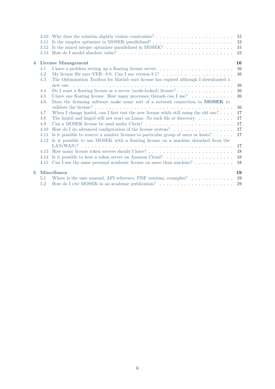| 3.11<br>3.12<br>3.13 | Is the simplex optimizer in MOSEK parallelized? $\dots \dots \dots \dots \dots \dots \dots \dots \dots$<br>Is the mixed integer optimizer parallelized in MOSEK? $\dots \dots \dots \dots \dots \dots \dots$ | -15<br>15<br>15                                                                                                                                                                                                                                                                                                                                                                                                                                                                                                                                                                                                                                                                                                                                                                                                                                                                                                                                                                                                                                      |  |  |
|----------------------|--------------------------------------------------------------------------------------------------------------------------------------------------------------------------------------------------------------|------------------------------------------------------------------------------------------------------------------------------------------------------------------------------------------------------------------------------------------------------------------------------------------------------------------------------------------------------------------------------------------------------------------------------------------------------------------------------------------------------------------------------------------------------------------------------------------------------------------------------------------------------------------------------------------------------------------------------------------------------------------------------------------------------------------------------------------------------------------------------------------------------------------------------------------------------------------------------------------------------------------------------------------------------|--|--|
|                      |                                                                                                                                                                                                              | 16                                                                                                                                                                                                                                                                                                                                                                                                                                                                                                                                                                                                                                                                                                                                                                                                                                                                                                                                                                                                                                                   |  |  |
| 4.1                  | I have a problem setting up a floating license server                                                                                                                                                        | 16                                                                                                                                                                                                                                                                                                                                                                                                                                                                                                                                                                                                                                                                                                                                                                                                                                                                                                                                                                                                                                                   |  |  |
| 4.2<br>4.3           | My license file says VER=8.0. Can I use version 8.1? $\dots \dots \dots \dots \dots \dots \dots \dots$<br>The Optimization Toolbox for Matlab says license has expired although I downloaded a               | 16                                                                                                                                                                                                                                                                                                                                                                                                                                                                                                                                                                                                                                                                                                                                                                                                                                                                                                                                                                                                                                                   |  |  |
|                      |                                                                                                                                                                                                              | 16                                                                                                                                                                                                                                                                                                                                                                                                                                                                                                                                                                                                                                                                                                                                                                                                                                                                                                                                                                                                                                                   |  |  |
| 4.4                  |                                                                                                                                                                                                              | 16                                                                                                                                                                                                                                                                                                                                                                                                                                                                                                                                                                                                                                                                                                                                                                                                                                                                                                                                                                                                                                                   |  |  |
|                      |                                                                                                                                                                                                              | 16                                                                                                                                                                                                                                                                                                                                                                                                                                                                                                                                                                                                                                                                                                                                                                                                                                                                                                                                                                                                                                                   |  |  |
|                      |                                                                                                                                                                                                              |                                                                                                                                                                                                                                                                                                                                                                                                                                                                                                                                                                                                                                                                                                                                                                                                                                                                                                                                                                                                                                                      |  |  |
|                      |                                                                                                                                                                                                              | 16                                                                                                                                                                                                                                                                                                                                                                                                                                                                                                                                                                                                                                                                                                                                                                                                                                                                                                                                                                                                                                                   |  |  |
|                      |                                                                                                                                                                                                              | 17                                                                                                                                                                                                                                                                                                                                                                                                                                                                                                                                                                                                                                                                                                                                                                                                                                                                                                                                                                                                                                                   |  |  |
|                      |                                                                                                                                                                                                              | 17                                                                                                                                                                                                                                                                                                                                                                                                                                                                                                                                                                                                                                                                                                                                                                                                                                                                                                                                                                                                                                                   |  |  |
|                      |                                                                                                                                                                                                              | 17                                                                                                                                                                                                                                                                                                                                                                                                                                                                                                                                                                                                                                                                                                                                                                                                                                                                                                                                                                                                                                                   |  |  |
|                      |                                                                                                                                                                                                              | 17                                                                                                                                                                                                                                                                                                                                                                                                                                                                                                                                                                                                                                                                                                                                                                                                                                                                                                                                                                                                                                                   |  |  |
|                      |                                                                                                                                                                                                              | 17                                                                                                                                                                                                                                                                                                                                                                                                                                                                                                                                                                                                                                                                                                                                                                                                                                                                                                                                                                                                                                                   |  |  |
|                      |                                                                                                                                                                                                              |                                                                                                                                                                                                                                                                                                                                                                                                                                                                                                                                                                                                                                                                                                                                                                                                                                                                                                                                                                                                                                                      |  |  |
|                      |                                                                                                                                                                                                              | 17                                                                                                                                                                                                                                                                                                                                                                                                                                                                                                                                                                                                                                                                                                                                                                                                                                                                                                                                                                                                                                                   |  |  |
|                      |                                                                                                                                                                                                              | 18                                                                                                                                                                                                                                                                                                                                                                                                                                                                                                                                                                                                                                                                                                                                                                                                                                                                                                                                                                                                                                                   |  |  |
|                      |                                                                                                                                                                                                              | 18                                                                                                                                                                                                                                                                                                                                                                                                                                                                                                                                                                                                                                                                                                                                                                                                                                                                                                                                                                                                                                                   |  |  |
|                      |                                                                                                                                                                                                              | 18                                                                                                                                                                                                                                                                                                                                                                                                                                                                                                                                                                                                                                                                                                                                                                                                                                                                                                                                                                                                                                                   |  |  |
|                      | 19                                                                                                                                                                                                           |                                                                                                                                                                                                                                                                                                                                                                                                                                                                                                                                                                                                                                                                                                                                                                                                                                                                                                                                                                                                                                                      |  |  |
| 5.1                  |                                                                                                                                                                                                              | 19                                                                                                                                                                                                                                                                                                                                                                                                                                                                                                                                                                                                                                                                                                                                                                                                                                                                                                                                                                                                                                                   |  |  |
| 5.2                  |                                                                                                                                                                                                              | 19                                                                                                                                                                                                                                                                                                                                                                                                                                                                                                                                                                                                                                                                                                                                                                                                                                                                                                                                                                                                                                                   |  |  |
|                      | 4.5<br>4.6<br>4.7<br>4.8<br>4.9<br>4.10<br>4.11<br>4.12<br>4.13<br>4.14                                                                                                                                      | 3.10 Why does the solution slightly violate constraints? $\dots \dots \dots \dots \dots \dots \dots \dots \dots$<br><b>License Management</b><br>Do I want a floating license or a server (node-locked) license? $\dots \dots \dots \dots \dots$<br>I have one floating license. How many processes/threads can I use?<br>Does the licensing software make some sort of a network connection to MOSEK to<br>When I change hostid, can I first test the new license while still using the old one? $\dots$ .<br>How do I do advanced configuration of the license system?<br>Is it possible to reserve a number licenses to particular group of users or hosts? $\dots$<br>Is it possible to use MOSEK with a floating license on a machine detached from the<br>4.15 Can I use the same personal academic license on more than machine?<br>Miscellanea<br>Where is the user manual, API reference, PDF versions, examples? $\dots \dots \dots$<br>How do I cite MOSEK in an academic publication? $\ldots \ldots \ldots \ldots \ldots \ldots \ldots$ |  |  |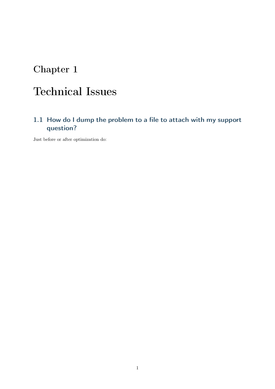# <span id="page-3-0"></span>Technical Issues

# <span id="page-3-1"></span>1.1 How do I dump the problem to a file to attach with my support question?

Just before or after optimization do: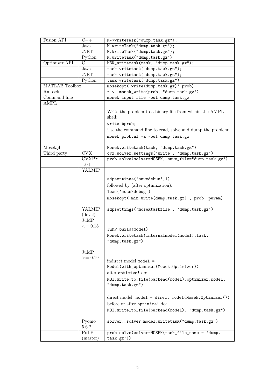| Fusion API            | $C++$                   | M->writeTask("dump.task.gz");                                     |  |
|-----------------------|-------------------------|-------------------------------------------------------------------|--|
|                       | Java                    | M.writeTask("dump.task.gz");                                      |  |
|                       | .NET                    | M. WriteTask("dump.task.gz");                                     |  |
|                       | Python                  | M.writeTask("dump.task.gz")                                       |  |
| Optimizer API<br>C    |                         | MSK_writetask(task, "dump.task.gz");                              |  |
|                       | Java                    | task.writetask("dump.task.gz");                                   |  |
|                       | .NET                    | task.writetask("dump.task.gz");                                   |  |
|                       | Python                  | task.writetask("dump.task.gz")                                    |  |
| <b>MATLAB</b> Toolbox |                         | mosekopt('write(dump.task.gz)',prob)                              |  |
| Rmosek                |                         | r <- mosek_write(prob, "dump.task.gz")                            |  |
| Command line          |                         | mosek input_file -out dump.task.gz                                |  |
| AMPL                  |                         |                                                                   |  |
|                       |                         | Write the problem to a binary file from within the AMPL<br>shell: |  |
|                       |                         | write bprob;                                                      |  |
|                       |                         | Use the command line to read, solve and dump the problem:         |  |
|                       |                         | mosek prob.nl -a -out dump.task.gz                                |  |
| Mosek.jl              |                         | Mosek.writetask(task, "dump.task.gz")                             |  |
| Third party           | $\overline{\text{CVX}}$ | cvx_solver_settings('write', 'dump.task.gz')                      |  |
|                       | <b>CVXPY</b>            | prob.solve(solver=MOSEK, save_file="dump.task.gz")                |  |
|                       | $1.0+$                  |                                                                   |  |
|                       | YALMIP                  |                                                                   |  |
|                       |                         |                                                                   |  |
|                       |                         | sdpsettings('savedebug',1)                                        |  |
|                       |                         | followed by (after optimization):                                 |  |
|                       |                         | load('mosekdebug')                                                |  |
|                       |                         | mosekopt ('min write (dump.task.gz)', prob, param)                |  |
|                       | <b>YALMIP</b>           | sdpsettings('mosektaskfile', 'dump.task.gz')                      |  |
|                       | (devel)                 |                                                                   |  |
|                       | JuMP                    |                                                                   |  |
|                       | $<=0.18$                | JuMP.build(model)                                                 |  |
|                       |                         |                                                                   |  |
|                       |                         | Mosek.writetask(internalmodel(model).task,<br>"dump.task.gz")     |  |
|                       |                         |                                                                   |  |
|                       | JuMP                    |                                                                   |  |
|                       | $>= 0.19$               |                                                                   |  |
|                       |                         | indirect model model =                                            |  |
|                       |                         | Model(with_optimizer(Mosek.Optimizer))                            |  |
|                       |                         | after optimize! do:                                               |  |
|                       |                         | MOI.write_to_file(backend(model).optimizer.model,                 |  |
|                       |                         | "dump.task.gz")                                                   |  |
|                       |                         |                                                                   |  |
|                       |                         | $direct model: model = direct_model(Mosek.Dptimize r())$          |  |
|                       |                         | before or after optimize! do:                                     |  |
|                       |                         | MOI.write_to_file(backend(model), "dump.task.gz")                 |  |
|                       | Pyomo<br>$5.6.2+$       | solver._solver_model.writetask("dump.task.gz")                    |  |
|                       | PuLP                    | prob.solve(solver=MOSEK(task_file_name = 'dump.                   |  |
|                       | (master)                | task.gz')                                                         |  |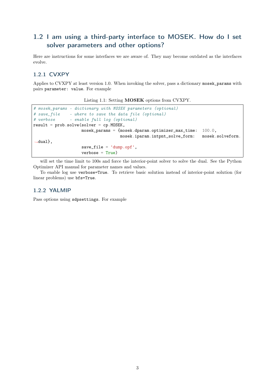# <span id="page-5-0"></span>1.2 I am using a third-party interface to MOSEK. How do I set solver parameters and other options?

Here are instructions for some interfaces we are aware of. They may become outdated as the interfaces evolve.

### <span id="page-5-1"></span>1.2.1 CVXPY

Applies to CVXPY at least version 1.0. When invoking the solver, pass a dictionary mosek\_params with pairs parameter: value. For example

Listing 1.1: Setting MOSEK options from CVXPY.

```
# mosek_params - dictionary with MOSEK parameters (optional)
# save_file - where to save the data file (optional)
# verbose - enable full log (optional)
result = prob.solve(solver = cp.MOSEK,mosek_params = {mosek.dparam.optimizer_max_time: 100.0,
                                   mosek.iparam.intpnt_solve_form: mosek.solveform.
˓→dual},
                   save\_file = 'dump.opf',verbose = True)
```
will set the time limit to 100s and force the interior-point solver to solve the dual. See the Python Optimizer API manual for parameter names and values.

To enable log use verbose=True. To retrieve basic solution instead of interior-point solution (for linear problems) use bfs=True.

#### <span id="page-5-2"></span>1.2.2 YALMIP

Pass options using sdpsettings. For example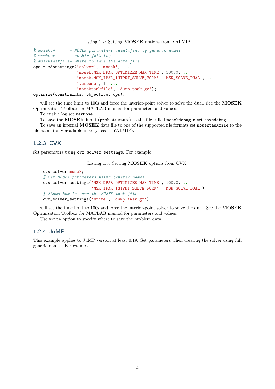Listing 1.2: Setting MOSEK options from YALMIP.

```
% mosek.* - MOSEK parameters identified by generic names
% verbose - enable full log
% mosektaskfile- where to save the data file
ops = sdpsettings('solver', 'mosek', ...
                  'mosek.MSK_DPAR_OPTIMIZER_MAX_TIME', 100.0, ...
                  'mosek.MSK_IPAR_INTPNT_SOLVE_FORM', 'MSK_SOLVE_DUAL', ...
                  'verbose', 1, ...
                  'mosektaskfile', 'dump.task.gz');
optimize(constraints, objective, ops);
```
will set the time limit to 100s and force the interior-point solver to solve the dual. See the MOSEK Optimization Toolbox for MATLAB manual for parameters and values.

To enable log set verbose.

To save the MOSEK input (prob structure) to the file called mosekdebug.m set savedebug.

To save an internal MOSEK data file to one of the supported file formats set mosektaskfile to the file name (only available in very recent YALMIP).

#### <span id="page-6-0"></span>1.2.3 CVX

Set parameters using cvx\_solver\_settings. For example

Listing 1.3: Setting MOSEK options from CVX.

```
cvx_solver mosek;
% Set MOSEK parameters using generic names
cvx_solver_settings('MSK_DPAR_OPTIMIZER_MAX_TIME', 100.0, ...
                    'MSK_IPAR_INTPNT_SOLVE_FORM', 'MSK_SOLVE_DUAL');
% Shows how to save the MOSEK task file
cvx_solver_settings('write', 'dump.task.gz')
```
will set the time limit to 100s and force the interior-point solver to solve the dual. See the MOSEK Optimization Toolbox for MATLAB manual for parameters and values.

Use write option to specify where to save the problem data.

#### <span id="page-6-1"></span>1.2.4 JuMP

This example applies to JuMP version at least 0.19. Set parameters when creating the solver using full generic names. For example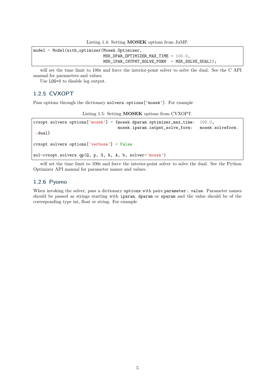Listing 1.4: Setting MOSEK options from JuMP.

model = Model(with\_optimizer(Mosek.Optimizer, MSK\_DPAR\_OPTIMIZER\_MAX\_TIME = 100.0, MSK\_IPAR\_INTPNT\_SOLVE\_FORM = MSK\_SOLVE\_DUAL));

will set the time limit to 100s and force the interior-point solver to solve the dual. See the C API manual for parameters and values.

Use LOG=0 to disable log output.

### <span id="page-7-0"></span>1.2.5 CVXOPT

Pass options through the dictionary solvers.options['mosek']. For example

Listing 1.5: Setting MOSEK options from CVXOPT.

| $cvxopt.solvers. options['mosek'] = {mosek.dparam. optimizer_max_time:}$ |                                 | $100.0$ .        |
|--------------------------------------------------------------------------|---------------------------------|------------------|
|                                                                          | mosek.iparam.intpnt_solve_form: | mosek.solveform. |
| $\rightarrow$ dual}                                                      |                                 |                  |
|                                                                          |                                 |                  |
| $cvxopt.solvers. options['verbase'] = False$                             |                                 |                  |
|                                                                          |                                 |                  |
| sol=cvxopt.solvers.qp(Q, p, G, h, A, b, solver='mosek')                  |                                 |                  |

will set the time limit to 100s and force the interior-point solver to solve the dual. See the Python Optimizer API manual for parameter names and values.

#### <span id="page-7-1"></span>1.2.6 Pyomo

When invoking the solver, pass a dictionary options with pairs parameter: value. Parameter names should be passed as strings starting with iparam, dparam or sparam and the value should be of the corresponding type int, float or string. For example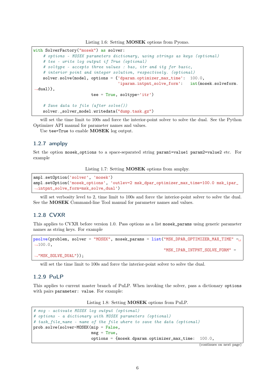Listing 1.6: Setting MOSEK options from Pyomo.

```
with SolverFactory("mosek") as solver:
    # options - MOSEK parameters dictionary, using strings as keys (optional)
    # tee - write log output if True (optional)
    # soltype - accepts three values : bas, itr and itg for basic,
    # interior point and integer solution, respectively. (optional)
   solver.solve(model, options = {'dparam.optimizer_max_time': 100.0,
                                    'iparam.intpnt_solve_form': int(mosek.solveform.
\rightarrowdual)},
                        tee = True, solve='itr')# Save data to file (after solve())
   solver._solver_model.writedata("dump.task.gz")
```
will set the time limit to 100s and force the interior-point solver to solve the dual. See the Python Optimizer API manual for parameter names and values.

Use tee=True to enable **MOSEK** log output.

#### <span id="page-8-0"></span>1.2.7 amplpy

Set the option mosek\_options to a space-separated string param1=value1 param2=value2 etc. For example

Listing 1.7: Setting MOSEK options from amplpy.

```
ampl.setOption('solver', 'mosek')
ampl.setOption('mosek_options', 'outlev=2 msk_dpar_optimizer_max_time=100.0 msk_ipar_
˓→intpnt_solve_form=msk_solve_dual')
```
will set verbosity level to 2, time limit to 100s and force the interior-point solver to solve the dual. See the MOSEK Command-line Tool manual for parameter names and values.

#### <span id="page-8-1"></span>1.2.8 CVXR

This applies to CVXR before version 1.0. Pass options as a list mosek\_params using generic parameter names as string keys. For example

```
psolve(problem, solver = "MOSEK", mosek_params = list("MSK_DPAR_OPTIMIZER_MAX_TIME" =

=
\rightarrow 100.0,
                                                           "MSK_IPAR_INTPNT_SOLVE_FORM" =
→"MSK_SOLVE_DUAL"));
```
will set the time limit to 100s and force the interior-point solver to solve the dual.

### <span id="page-8-2"></span>1.2.9 PuLP

This applies to current master branch of PuLP. When invoking the solver, pass a dictionary options with pairs parameter: value. For example:

Listing 1.8: Setting MOSEK options from PuLP.

```
# msg - activate MOSEK log output (optional)
# options - a dictionary with MOSEK parameters (optional)
# task_file_name - name of the file where to save the data (optional)
prob.solve(solver=MOSEK(mip = False,
                        msg = True,options = {mosek.dparam.optimizer_max_time: 100.0,
```
(continues on next page)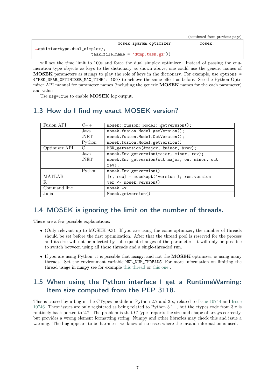|                                            | (continued from previous page) |
|--------------------------------------------|--------------------------------|
| mosek.iparam.optimizer:                    | mosek.                         |
| $\rightarrow$ optimizertype.dual_simplex}, |                                |
| $task_file_name = 'dump.task(gz'))$        |                                |

will set the time limit to 100s and force the dual simplex optimizer. Instead of passing the enumeration type objects as keys to the dictionary as shown above, one could use the generic names of MOSEK parameters as strings to play the role of keys in the dictionary. For example, use options = {"MSK\_DPAR\_OPTIMIZER\_MAX\_TIME": 100} to achieve the same effect as before. See the Python Optimizer API manual for parameter names (including the generic MOSEK names for the each parameter) and values.

Use msg=True to enable **MOSEK** log output.

| Fusion API<br>$C++$ |        | mosek::fusion::Model::getVersion();              |  |
|---------------------|--------|--------------------------------------------------|--|
|                     | Java   | mosek.fusion.Model.getVersion();                 |  |
|                     | NET.   | mosek.fusion.Model.GetVersion();                 |  |
|                     | Python | mosek.fusion.Model.getVersion()                  |  |
| Optimizer API       |        | MSK_getversion(&major, &minor, &rev);            |  |
| Java                |        | mosek. Env. getversion (major, minor, rev);      |  |
|                     | NET.   | mosek. Env.getversion (out major, out minor, out |  |
|                     |        | $rev)$ ;                                         |  |
|                     | Python | mosek. Env. getversion()                         |  |
| <b>MATLAB</b>       |        | $[r, res] = mosekopt('version'); res.version$    |  |
| R                   |        | ver <- mosek_version()                           |  |
| Command line        |        | $mosek - v$                                      |  |
| Julia               |        | Mosek.getversion()                               |  |

# <span id="page-9-0"></span>1.3 How do I find my exact MOSEK version?

# <span id="page-9-1"></span>1.4 MOSEK is ignoring the limit on the number of threads.

There are a few possible explanations:

- (Only relevant up to MOSEK 9.3). If you are using the conic optimizer, the number of threads should be set before the first optimization. After that the thread pool is reserved for the process and its size will not be affected by subsequent changes of the parameter. It will only be possible to switch between using all those threads and a single-threaded run.
- If you are using Python, it is possible that numpy, and not the **MOSEK** optimizer, is using many threads. Set the environment variable MKL\_NUM\_THREADS. For more information on limiting the thread usage in numpy see for example [this thread](https://stackoverflow.com/questions/29559338/set-max-number-of-threads-at-runtime-on-numpy-openblas) or [this one](https://stackoverflow.com/questions/30791550/limit-number-of-threads-in-numpy) .

# <span id="page-9-2"></span>1.5 When using the Python interface I get a RuntimeWarning: Item size computed from the PEP 3118.

This is caused by a bug in the CTypes module in Python 2.7 and 3.x, related to [Issue 10744](http://bugs.python.org/issue10744) and [Issue](http://bugs.python.org/issue10746) [10746.](http://bugs.python.org/issue10746) These issues are only registered as being related to Python 3.1+, but the ctypes code from 3.x is routinely back-ported to 2.7. The problem is that CTypes reports the size and shape of arrays correctly, but provides a wrong element formatting string: Numpy and other libraries may check this and issue a warning. The bug appears to be harmless; we know of no cases where the invalid information is used.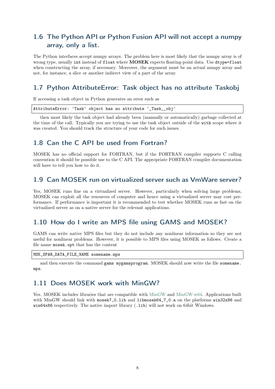# <span id="page-10-0"></span>1.6 The Python API or Python Fusion API will not accept a numpy array, only a list.

The Python interfaces accept numpy arrays. The problem here is most likely that the numpy array is of wrong type, usually int instead of float where **MOSEK** expects floating-point data. Use dtype=float when constructing the array, if necessary. Moreover, the argument must be an actual numpy array and not, for instance, a slice or another indirect view of a part of the array.

# <span id="page-10-1"></span>1.7 Python AttributeError: Task object has no attribute Taskobj

If accessing a task object in Python generates an error such as

|  |  | AttributeError: 'Task' object has no attribute '_Task__obj' |
|--|--|-------------------------------------------------------------|
|--|--|-------------------------------------------------------------|

then most likely the task object had already been (manually or automatically) garbage collected at the time of the call. Typically you are trying to use the task object outside of the with scope where it was created. You should track the structure of your code for such issues.

# <span id="page-10-2"></span>1.8 Can the C API be used from Fortran?

MOSEK has no official support for FORTRAN, but if the FORTRAN compiler supports C calling convention it should be possible use to the C API. The appropriate FORTRAN compiler documentation will have to tell you how to do it.

# <span id="page-10-3"></span>1.9 Can MOSEK run on virtualized server such as VmWare server?

Yes, MOSEK runs fine on a virtualized server. However, particularly when solving large problems, MOSEK can exploit all the resources of computer and hence using a virtualized server may cost performance. If performance is important it is recommended to test whether MOSEK runs as fast on the virtualized server as on a native server for the relevant applications.

## <span id="page-10-4"></span>1.10 How do I write an MPS file using GAMS and MOSEK?

GAMS can write native MPS files but they do not include any nonlinear information so they are not useful for nonlinear problems. However, it is possible to MPS files using MOSEK as follows. Create a file name mosek.opt that has the content

MSK\_SPAR\_DATA\_FILE\_NAME somename.mps

and then execute the command gams mygamsprogram. MOSEK should now write the file somename. mps.

## <span id="page-10-5"></span>1.11 Does MOSEK work with MinGW?

Yes. MOSEK includes libraries that are compatible with [MinGW](http://www.mingw.org/) and [MinGW-w64.](http://mingw-w64.sourceforge.net/) Applications built with MinGW should link with mosek7\_0.lib and libmosek64\_7\_0.a on the platforms win32x86 and win64x86 respectively. The native import library (.lib) will not work on 64bit Windows.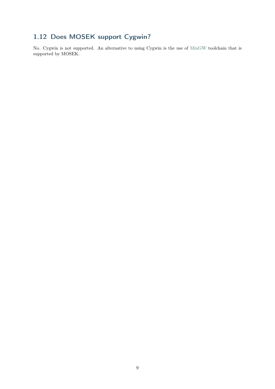# <span id="page-11-0"></span>1.12 Does MOSEK support Cygwin?

No. Cygwin is not supported. An alternative to using Cygwin is the use of [MinGW](http://www.mingw.org/) toolchain that is supported by MOSEK.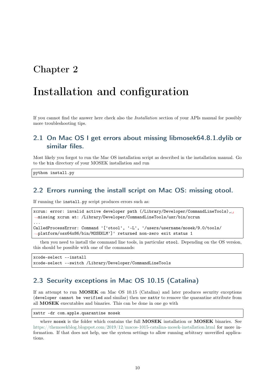# <span id="page-12-0"></span>Installation and configuration

If you cannot find the answer here check also the Installation section of your APIs manual for possibly more troubleshooting tips.

## <span id="page-12-1"></span>2.1 On Mac OS I get errors about missing libmosek64.8.1.dylib or similar files.

Most likely you forgot to run the Mac OS installation script as described in the installation manual. Go to the bin directory of your MOSEK installation and run

python install.py

### <span id="page-12-2"></span>2.2 Errors running the install script on Mac OS: missing otool.

If running the install.py script produces errors such as:

```
xcrun: error: invalid active developer path (/Library/Developer/CommandLineTools),
˓→missing xcrun at: /Library/Developer/CommandLineTools/usr/bin/xcrun
...
CalledProcessError: Command '['otool', '-L', '/users/username/mosek/9.0/tools/
˓→platform/osx64x86/bin/MOSEKLM']' returned non-zero exit status 1
```
then you need to install the command line tools, in particular otool. Depending on the OS version, this should be possible with one of the commands:

```
xcode-select --install
xcode-select --switch /Library/Developer/CommandLineTools
```
## <span id="page-12-3"></span>2.3 Security exceptions in Mac OS 10.15 (Catalina)

If an attempt to run MOSEK on Mac OS 10.15 (Catalina) and later produces security exceptions (developer cannot be verified and similar) then use xattr to remove the quarantine attribute from all MOSEK executables and binaries. This can be done in one go with

```
xattr -dr com.apple.quarantine mosek
```
where mosek is the folder which contains the full **MOSEK** installation or **MOSEK** binaries. See <https://themosekblog.blogspot.com/2019/12/macos-1015-catalina-mosek-installation.html> for more information. If that does not help, use the system settings to allow running arbitrary unverified applications.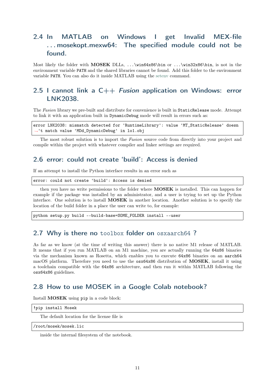# <span id="page-13-0"></span>2.4 In MATLAB on Windows I get Invalid MEX-file . . . mosekopt.mexw64: The specified module could not be found.

Most likely the folder with MOSEK DLLs, ...\win64x86\bin or ...\win32x86\bin, is not in the environment variable PATH and the shared libraries cannot be found. Add this folder to the environment variable PATH. You can also do it inside MATLAB using the [setenv](https://mathworks.com/help/matlab/ref/setenv.html) command.

# <span id="page-13-1"></span>2.5 I cannot link a  $C++$  *Fusion* application on Windows: error LNK2038.

The Fusion library we pre-built and distribute for convenience is built in StaticRelease mode. Attempt to link it with an application built in DynamicDebug mode will result in errors such as:

error LNK2038: mismatch detected for 'RuntimeLibrary': value 'MT\_StaticRelease' doesn ˓<sup>→</sup>'t match value 'MDd\_DynamicDebug' in lo1.obj

The most robust solution is to import the Fusion source code from directly into your project and compile within the project with whatever compiler and linker settings are required.

# <span id="page-13-2"></span>2.6 error: could not create 'build': Access is denied

If an attempt to install the Python interface results in an error such as

error: could not create 'build': Access is denied

then you have no write permissions to the folder where MOSEK is installed. This can happen for example if the package was installed by an administrator, and a user is trying to set up the Python interface. One solution is to install MOSEK in another location. Another solution is to specify the location of the build folder in a place the user can write to, for example:

python setup.py build --build-base=SOME\_FOLDER install --user

## <span id="page-13-3"></span>2.7 Why is there no toolbox folder on osxaarch64?

As far as we know (at the time of writing this answer) there is no native M1 release of MATLAB. It means that if you run MATLAB on an M1 machine, you are actually running the 64x86 binaries via the mechanism known as Rosetta, which enables you to execute 64x86 binaries on an aarch64 macOS platform. Therefore you need to use the  $\cos 64x86$  distribution of **MOSEK**, install it using a toolchain compatible with the 64x86 architecture, and then run it within MATLAB following the osx64x86 guidelines.

## <span id="page-13-4"></span>2.8 How to use MOSEK in a Google Colab notebook?

Install MOSEK using pip in a code block:

|  | !pip install Mosek |  |
|--|--------------------|--|
|--|--------------------|--|

The default location for the license file is

/root/mosek/mosek.lic

inside the internal filesystem of the notebook.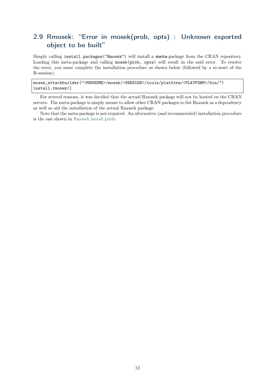# <span id="page-14-0"></span>2.9 Rmosek: "Error in mosek(prob, opts) : Unknown exported object to be built"

Simply calling install.packages("Rmosek") will install a meta-package from the CRAN repository. Loading this meta-package and calling mosek(prob, opts) will result in the said error. To resolve the error, you must complete the installation procedure as shown below (followed by a re-start of the R-session):

mosek\_attachbuilder("<MSKHOME>/mosek/<VERSION>/tools/platform/<PLATFORM>/bin/") install.rmosek()

For several reasons, it was decided that the actual Rmosek package will not be hosted on the CRAN servers. The meta-package is simply meant to allow other CRAN packages to list Rmosek as a dependency as well as aid the installation of the actual Rmosek package.

Note that the meta-package is not required. An alternative (and recommended) installation procedure is the one shown in [Rmosek install guide.](https://docs.mosek.com/latest/rmosek/install-interface.html)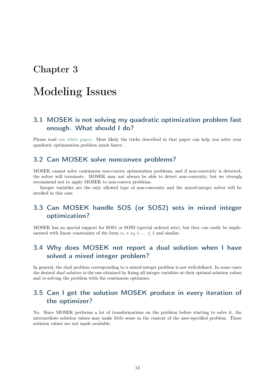# <span id="page-15-0"></span>Modeling Issues

# <span id="page-15-1"></span>3.1 MOSEK is not solving my quadratic optimization problem fast enough. What should I do?

Please read [our white paper.](https://docs.mosek.com/whitepapers/qmodel.pdf) Most likely the tricks described in that paper can help you solve your quadratic optimization problem much faster.

### <span id="page-15-2"></span>3.2 Can MOSEK solve nonconvex problems?

MOSEK cannot solve continuous non-convex optimization problems, and if non-convexity is detected, the solver will terminate. MOSEK may not always be able to detect non-convexity, but we strongly recommend not to apply MOSEK to non-convex problems.

Integer variables are the only allowed type of non-convexity and the mixed-integer solver will be invoked in this case.

# <span id="page-15-3"></span>3.3 Can MOSEK handle SOS (or SOS2) sets in mixed integer optimization?

MOSEK has no special support for SOS1 or SOS2 (special ordered sets), but they can easily be implemented with linear constraints of the form  $x_1 + x_2 + \ldots \leq 1$  and similar.

# <span id="page-15-4"></span>3.4 Why does MOSEK not report a dual solution when I have solved a mixed integer problem?

In general, the dual problem corresponding to a mixed-integer problem is not well-defined. In some cases the desired dual solution is the one obtained by fixing all integer variables at their optimal solution values and re-solving the problem with the continuous optimizer.

# <span id="page-15-5"></span>3.5 Can I get the solution MOSEK produce in every iteration of the optimizer?

No. Since MOSEK performs a lot of transformations on the problem before starting to solve it, the intermediate solution values may make little sense in the context of the user-specified problem. These solution values are not made available.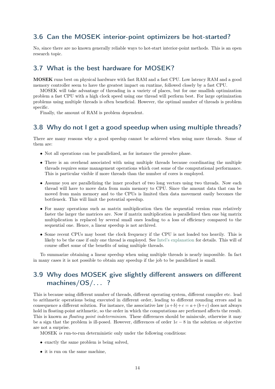# <span id="page-16-0"></span>3.6 Can the MOSEK interior-point optimizers be hot-started?

No, since there are no known generally reliable ways to hot-start interior-point methods. This is an open research topic.

## <span id="page-16-1"></span>3.7 What is the best hardware for MOSEK?

MOSEK runs best on physical hardware with fast RAM and a fast CPU. Low latency RAM and a good memory controller seem to have the greatest impact on runtime, followed closely by a fast CPU.

MOSEK will take advantage of threading in a variety of places, but for one smallish optimization problem a fast CPU with a high clock speed using one thread will perform best. For large optimization problems using multiple threads is often beneficial. However, the optimal number of threads is problem specific.

Finally, the amount of RAM is problem dependent.

## <span id="page-16-2"></span>3.8 Why do not I get a good speedup when using multiple threads?

There are many reasons why a good speedup cannot be achieved when using more threads. Some of them are:

- Not all operations can be parallelized, as for instance the presolve phase.
- There is an overhead associated with using multiple threads because coordinating the multiple threads requires some management operations which cost some of the computational performance. This is particular visible if more threads than the number of cores is employed.
- Assume you are parallelizing the inner product of two long vectors using two threads. Now each thread will have to move data from main memory to CPU. Since the amount data that can be moved from main memory and to the CPUs is limited then data movement easily becomes the bottleneck. This will limit the potential speedup.
- For many operations such as matrix multiplication then the sequential version runs relatively faster the larger the matrices are. Now if matrix multiplication is parallelized then one big matrix multiplication is replaced by several small ones leading to a loss of efficiency compared to the sequential one. Hence, a linear speedup is not archived.
- Some recent CPUs may boost the clock frequency if the CPU is not loaded too heavily. This is likely to be the case if only one thread is employed. See [Intel's explanation](http://www.intel.com/content/www/us/en/architecture-and-technology/turbo-boost/turbo-boost-technology.html) for details. This will of course offset some of the benefits of using multiple threads.

To summarize obtaining a linear speedup when using multiple threads is nearly impossible. In fact in many cases it is not possible to obtain any speedup if the job to be parallelized is small.

# <span id="page-16-3"></span>3.9 Why does MOSEK give slightly different answers on different machines/OS/. . . ?

This is because using different number of threads, different operating system, different compiler etc. lead to arithmetic operations being executed in different order, leading to different rounding errors and in consequence a different solution. For instance, the associative law  $(a+b)+c = a+(b+c)$  does not always hold in floating-point arithmetic, so the order in which the computations are performed affects the result. This is known as *floating point indeterminism*. These differences should be miniscule, otherwise it may be a sign that the problem is ill-posed. However, differences of order  $1e - 8$  in the solution or objective are not a surprise.

MOSEK is run-to-run deterministic only under the following conditions:

- exactly the same problem is being solved.
- it is run on the same machine,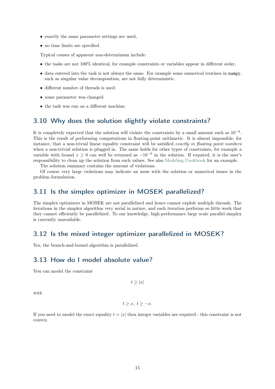- exactly the same parameter settings are used,
- no time limits are specified.

Typical causes of apparent non-determinism include:

- the tasks are not 100% identical, for example constraints or variables appear in different order,
- data entered into the task is not always the same. For example some numerical routines in numpy, such as singular value decomposition, are not fully deterministic.
- different number of threads is used.
- some parameter was changed.
- the task was run on a different machine.

## <span id="page-17-0"></span>3.10 Why does the solution slightly violate constraints?

It is completely expected that the solution will violate the constraints by a small amount such as  $10^{-8}$ . This is the result of performing computations in floating-point arithmetic. It is almost impossible, for instance, that a non-trivial linear equality constraint will be satisfied exactly in floating point numbers when a non-trivial solution is plugged in. The same holds for other types of constraints, for example a variable with bound  $x \geq 0$  can well be returned as  $-10^{-8}$  in the solution. If required, it is the user's responsibility to clean up the solution from such values. See also [Modeling Cookbook](https://docs.mosek.com/modeling-cookbook/practical.html#the-quality-of-a-solution) for an example.

The solution summary contains the amount of violations.

Of course very large violations may indicate an issue with the solution or numerical issues in the problem formulation.

## <span id="page-17-1"></span>3.11 Is the simplex optimizer in MOSEK parallelized?

The simplex optimizers in MOSEK are not parallelized and hence cannot exploit multiple threads. The iterations in the simplex algorithm very serial in nature, and each iteration performs so little work that they cannot efficiently be parallelized. To our knowledge, high-performance large scale parallel simplex is currently unavailable.

### <span id="page-17-2"></span>3.12 Is the mixed integer optimizer parallelized in MOSEK?

Yes, the branch-and-bound algorithm is parallelized.

## <span id="page-17-3"></span>3.13 How do I model absolute value?

You can model the constraint

 $t > |x|$ 

with

$$
t\geq x,\ t\geq -x.
$$

If you need to model the exact equality  $t = |x|$  then integer variables are required - this constraint is not convex.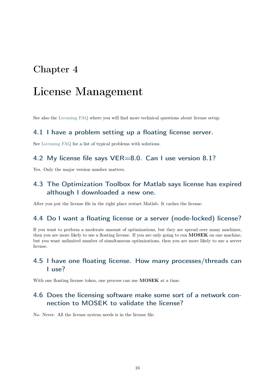# <span id="page-18-0"></span>License Management

See also the [Licensing FAQ](https://docs.mosek.com/10.0/licensing/licensefaq.html) where you will find more technical questions about license setup.

### <span id="page-18-1"></span>4.1 I have a problem setting up a floating license server.

See [Licensing FAQ](https://docs.mosek.com/10.0/licensing/licensefaq.html) for a list of typical problems with solutions.

## <span id="page-18-2"></span>4.2 My license file says VER=8.0. Can I use version 8.1?

Yes. Only the major version number matters.

# <span id="page-18-3"></span>4.3 The Optimization Toolbox for Matlab says license has expired although I downloaded a new one.

After you put the license file in the right place restart Matlab. It caches the license.

## <span id="page-18-4"></span>4.4 Do I want a floating license or a server (node-locked) license?

If you want to perform a moderate amount of optimizations, but they are spread over many machines, then you are more likely to use a floating license. If you are only going to run MOSEK on one machine, but you want unlimited number of simultaneous optimizations, then you are more likely to use a server license.

# <span id="page-18-5"></span>4.5 I have one floating license. How many processes/threads can I use?

With one floating license token, one process can use **MOSEK** at a time.

# <span id="page-18-6"></span>4.6 Does the licensing software make some sort of a network connection to MOSEK to validate the license?

No. Never. All the license system needs is in the license file.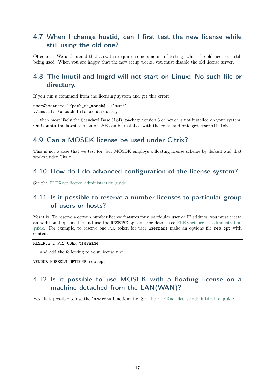# <span id="page-19-0"></span>4.7 When I change hostid, can I first test the new license while still using the old one?

Of course. We understand that a switch requires some amount of testing, while the old license is still being used. When you are happy that the new setup works, you must disable the old license server.

# <span id="page-19-1"></span>4.8 The lmutil and lmgrd will not start on Linux: No such file or directory.

If you run a command from the licensing system and get this error:

user@hostname:~/path\_to\_mosek\$ ./lmutil ./lmutil: No such file or directory

then most likely the Standard Base (LSB) package version 3 or newer is not installed on your system. On Ubuntu the latest version of LSB can be installed with the command apt-get install lsb.

## <span id="page-19-2"></span>4.9 Can a MOSEK license be used under Citrix?

This is not a case that we test for, but MOSEK employs a floating license scheme by default and that works under Citrix.

## <span id="page-19-3"></span>4.10 How do I do advanced configuration of the license system?

See the [FLEXnet license administration guide.](https://docs.mosek.com/generic/fnp_LicAdmin.pdf)

# <span id="page-19-4"></span>4.11 Is it possible to reserve a number licenses to particular group of users or hosts?

Yes it is. To reserve a certain number license features for a particular user or IP address, you must create an additional options file and use the RESERVE option. For details see [FLEXnet license administration](https://docs.mosek.com/generic/fnp_LicAdmin.pdf) [guide.](https://docs.mosek.com/generic/fnp_LicAdmin.pdf) For example, to reserve one PTS token for user username make an options file res.opt with content

RESERVE 1 PTS USER username

and add the following to your license file:

VENDOR MOSEKLM OPTIONS=res.opt

# <span id="page-19-5"></span>4.12 Is it possible to use MOSEK with a floating license on a machine detached from the LAN(WAN)?

Yes. It is possible to use the lmborrow functionality. See the [FLEXnet license administration guide.](https://docs.mosek.com/generic/fnp_LicAdmin.pdf)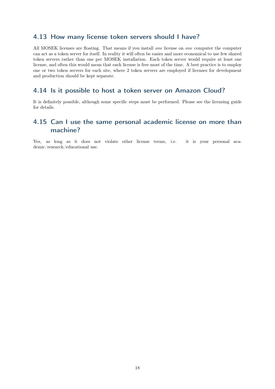# <span id="page-20-0"></span>4.13 How many license token servers should I have?

All MOSEK licenses are floating. That means if you install *one* license on *one* computer the computer can act as a token server for itself. In reality it will often be easier and more economical to use few shared token servers rather than one per MOSEK installation. Each token server would require at least one license, and often this would mean that each license is free most of the time. A best practice is to employ one or two token servers for each site, where 2 token servers are employed if licenses for development and production should be kept separate.

# <span id="page-20-1"></span>4.14 Is it possible to host a token server on Amazon Cloud?

It is definitely possible, although some specific steps must be performed. Please see the licensing guide for details.

# <span id="page-20-2"></span>4.15 Can I use the same personal academic license on more than machine?

Yes, as long as it does not violate other license terms, i.e. it is your personal academic/research/educational use.